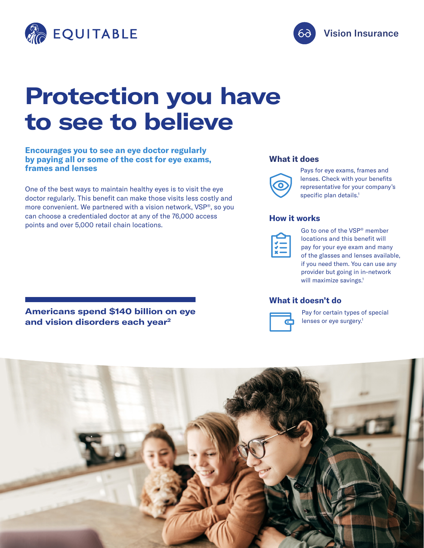



# **Protection you have to see to believe**

**Encourages you to see an eye doctor regularly by paying all or some of the cost for eye exams, frames and lenses**

One of the best ways to maintain healthy eyes is to visit the eye doctor regularly. This benefit can make those visits less costly and more convenient. We partnered with a vision network, VSP®, so you can choose a credentialed doctor at any of the 76,000 access points and over 5,000 retail chain locations.

#### **What it does**



Pays for eye exams, frames and lenses. Check with your benefits representative for your company's specific plan details.<sup>1</sup>

#### **How it works**

Go to one of the VSP® member locations and this benefit will pay for your eye exam and many of the glasses and lenses available, if you need them. You can use any provider but going in in-network will maximize savings.<sup>1</sup>

### **What it doesn't do**



Pay for certain types of special lenses or eye surgery.<sup>1</sup>



**Americans spend \$140 billion on eye and vision disorders each year2**